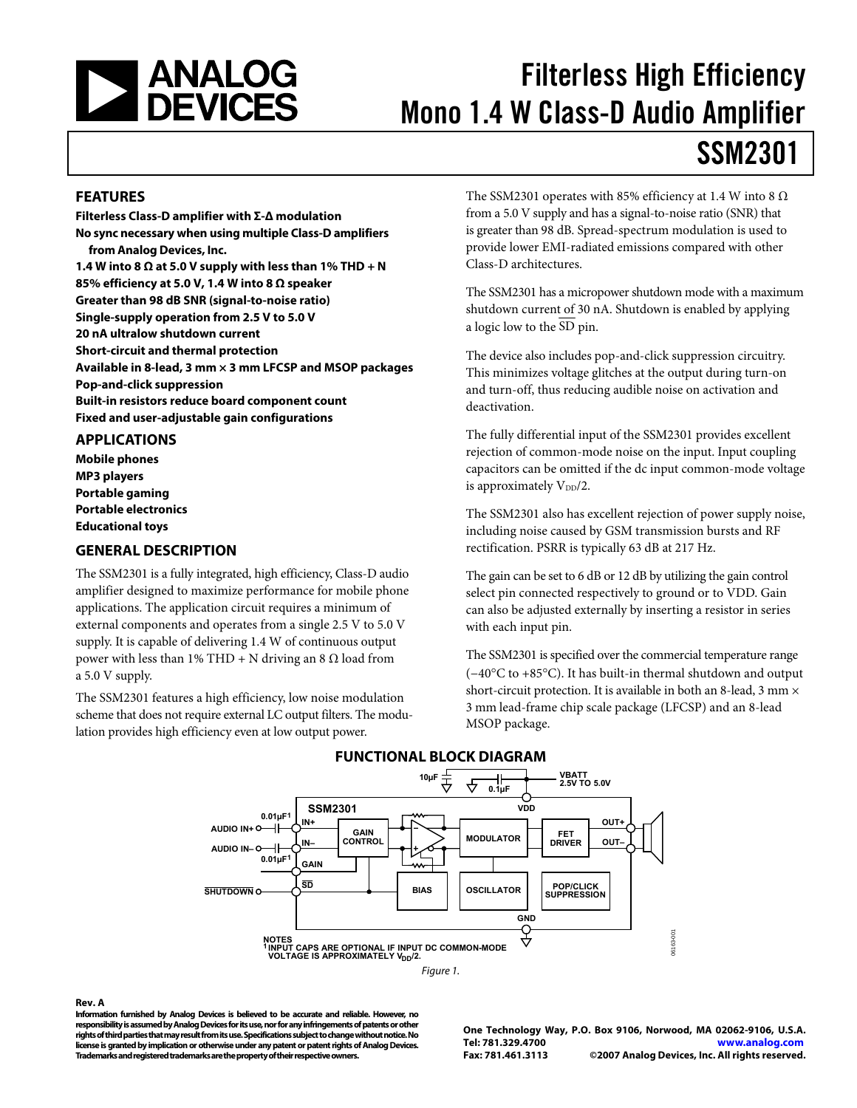<span id="page-0-0"></span>

# Filterless High Efficiency Mono 1.4 W Class-D Audio Amplifier

# SSM2301

### **FEATURES**

**Filterless Class-D amplifier with Σ-Δ modulation No sync necessary when using multiple Class-D amplifiers from Analog Devices, Inc.**  1.4 W into 8  $\Omega$  at 5.0 V supply with less than 1% THD + N **85% efficiency at 5.0 V, 1.4 W into 8 Ω speaker Greater than 98 dB SNR (signal-to-noise ratio) Single-supply operation from 2.5 V to 5.0 V 20 nA ultralow shutdown current Short-circuit and thermal protection Available in 8-lead, 3 mm × 3 mm LFCSP and MSOP packages Pop-and-click suppression Built-in resistors reduce board component count Fixed and user-adjustable gain configurations** 

#### **APPLICATIONS**

**Mobile phones MP3 players Portable gaming Portable electronics Educational toys** 

### **GENERAL DESCRIPTION**

The SSM2301 is a fully integrated, high efficiency, Class-D audio amplifier designed to maximize performance for mobile phone applications. The application circuit requires a minimum of external components and operates from a single 2.5 V to 5.0 V supply. It is capable of delivering 1.4 W of continuous output power with less than  $1%$  THD + N driving an 8 Ω load from a 5.0 V supply.

The SSM2301 features a high efficiency, low noise modulation scheme that does not require external LC output filters. The modulation provides high efficiency even at low output power.

The SSM2301 operates with 85% efficiency at 1.4 W into 8  $\Omega$ from a 5.0 V supply and has a signal-to-noise ratio (SNR) that is greater than 98 dB. Spread-spectrum modulation is used to provide lower EMI-radiated emissions compared with other Class-D architectures.

The SSM2301 has a micropower shutdown mode with a maximum shutdown current of 30 nA. Shutdown is enabled by applying a logic low to the SD pin.

The device also includes pop-and-click suppression circuitry. This minimizes voltage glitches at the output during turn-on and turn-off, thus reducing audible noise on activation and deactivation.

The fully differential input of the SSM2301 provides excellent rejection of common-mode noise on the input. Input coupling capacitors can be omitted if the dc input common-mode voltage is approximately  $V_{DD}/2$ .

The SSM2301 also has excellent rejection of power supply noise, including noise caused by GSM transmission bursts and RF rectification. PSRR is typically 63 dB at 217 Hz.

The gain can be set to 6 dB or 12 dB by utilizing the gain control select pin connected respectively to ground or to VDD. Gain can also be adjusted externally by inserting a resistor in series with each input pin.

The SSM2301 is specified over the commercial temperature range (−40°C to +85°C). It has built-in thermal shutdown and output short-circuit protection. It is available in both an 8-lead, 3 mm  $\times$ 3 mm lead-frame chip scale package (LFCSP) and an 8-lead MSOP package.





#### **Rev. A**

**Information furnished by Analog Devices is believed to be accurate and reliable. However, no responsibility is assumed by Analog Devices for its use, nor for any infringements of patents or other rights of third parties that may result from its use. Specifications subject to change without notice. No license is granted by implication or otherwise under any patent or patent rights of Analog Devices. Trademarks and registered trademarks are the property of their respective owners.** 

**One Technology Way, P.O. Box 9106, Norwood, MA 02062-9106, U.S.A. Tel: 781.329.4700 www.analog.com Fax: 781.461.3113 ©2007 Analog Devices, Inc. All rights reserved.**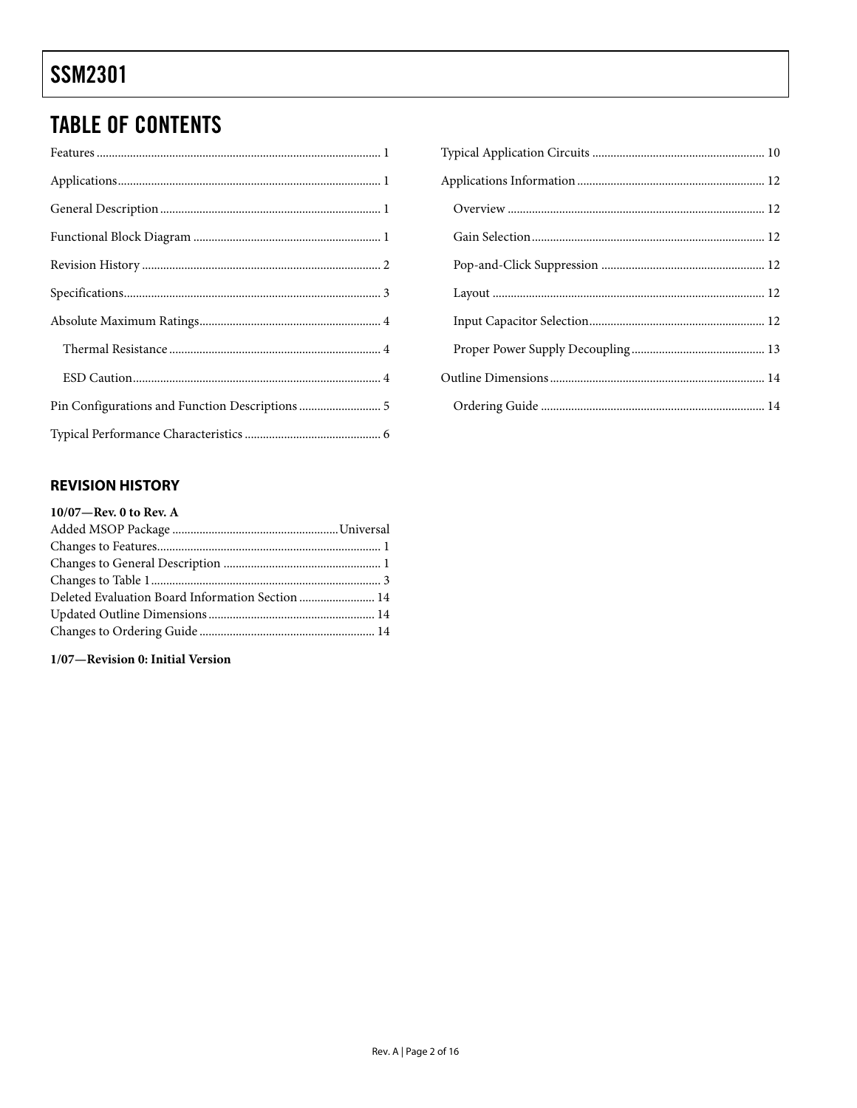# <span id="page-1-0"></span>**TABLE OF CONTENTS**

| Pin Configurations and Function Descriptions  5 |
|-------------------------------------------------|
|                                                 |

### **REVISION HISTORY**

| 10/07-Rev. 0 to Rev. A                           |  |
|--------------------------------------------------|--|
|                                                  |  |
|                                                  |  |
|                                                  |  |
|                                                  |  |
| Deleted Evaluation Board Information Section  14 |  |
|                                                  |  |
|                                                  |  |
|                                                  |  |

### 1/07-Revision 0: Initial Version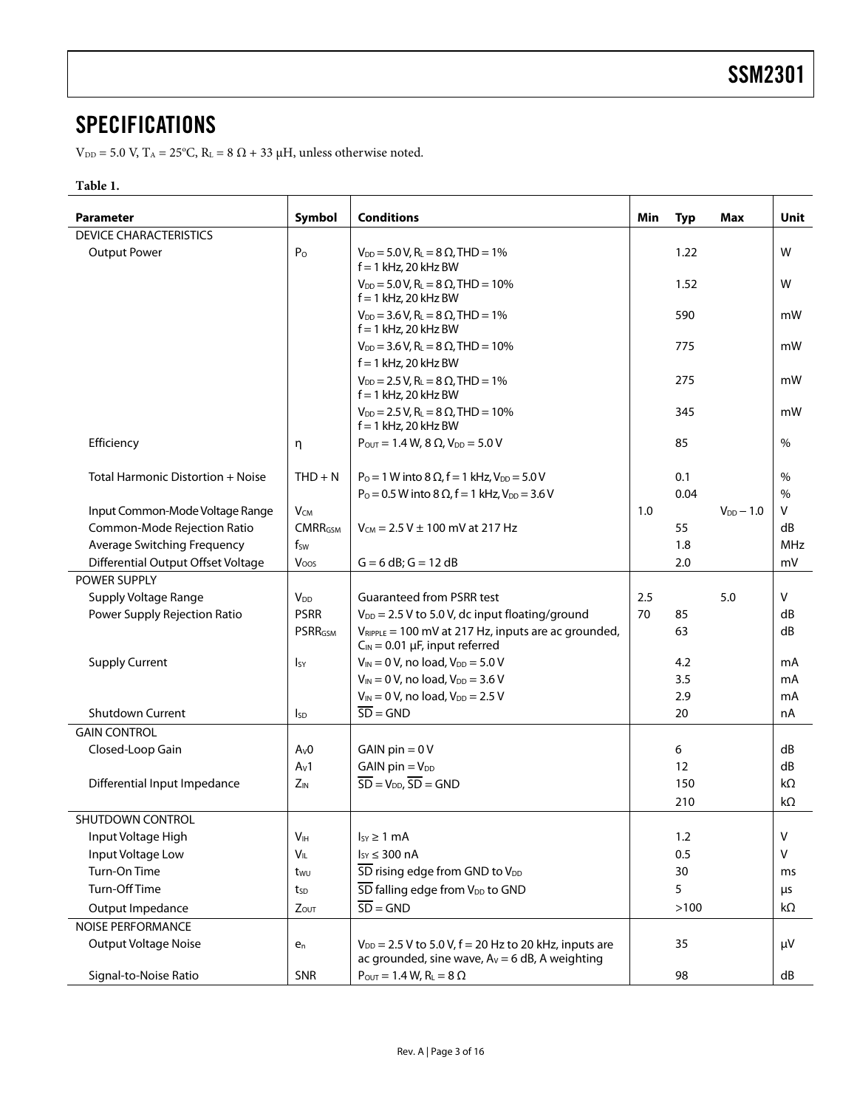### <span id="page-2-0"></span>**SPECIFICATIONS**

 $V_{DD}$  = 5.0 V, T<sub>A</sub> = 25<sup>o</sup>C, R<sub>L</sub> = 8  $\Omega$  + 33  $\mu$ H, unless otherwise noted.

#### **Table 1.**

| <b>Parameter</b>                   | Symbol           | <b>Conditions</b>                                                                                                | Min | <b>Typ</b> | Max            | Unit       |
|------------------------------------|------------------|------------------------------------------------------------------------------------------------------------------|-----|------------|----------------|------------|
| <b>DEVICE CHARACTERISTICS</b>      |                  |                                                                                                                  |     |            |                |            |
| <b>Output Power</b>                | P <sub>o</sub>   | $V_{DD} = 5.0 V$ , R <sub>L</sub> = 8 $\Omega$ , THD = 1%<br>$f = 1$ kHz, 20 kHz BW                              |     | 1.22       |                | W          |
|                                    |                  | $V_{DD} = 5.0 V$ , R <sub>L</sub> = 8 $\Omega$ , THD = 10%<br>$f = 1$ kHz, 20 kHz BW                             |     | 1.52       |                | W          |
|                                    |                  | $V_{DD} = 3.6 V$ , R <sub>L</sub> = 8 $\Omega$ , THD = 1%<br>$f = 1$ kHz, 20 kHz BW                              |     | 590        |                | mW         |
|                                    |                  | $V_{DD} = 3.6 V$ , R <sub>L</sub> = 8 $\Omega$ , THD = 10%<br>$f = 1$ kHz, 20 kHz BW                             |     | 775        |                | mW         |
|                                    |                  | $V_{DD} = 2.5 V, R_L = 8 \Omega, THD = 1\%$<br>$f = 1$ kHz, 20 kHz BW                                            |     | 275        |                | mW         |
|                                    |                  | $V_{DD} = 2.5 V, R_L = 8 \Omega, THD = 10\%$<br>$f = 1$ kHz, 20 kHz BW                                           |     | 345        |                | mW         |
| Efficiency                         | η                | $P_{\text{OUT}} = 1.4 \text{ W}, 8 \Omega, V_{\text{DD}} = 5.0 \text{ V}$                                        |     | 85         |                | $\%$       |
| Total Harmonic Distortion + Noise  | $THD + N$        | $P_0 = 1$ W into 8 $\Omega$ , f = 1 kHz, $V_{DD} = 5.0$ V                                                        |     | 0.1        |                | $\%$       |
|                                    |                  | $P_0 = 0.5$ W into 8 $\Omega$ , f = 1 kHz, $V_{DD} = 3.6$ V                                                      |     | 0.04       |                | $\%$       |
| Input Common-Mode Voltage Range    | $V_{CM}$         |                                                                                                                  | 1.0 |            | $V_{DD} - 1.0$ | V          |
| Common-Mode Rejection Ratio        | <b>CMRRGSM</b>   | $V_{CM}$ = 2.5 V $\pm$ 100 mV at 217 Hz                                                                          |     | 55         |                | dB         |
| Average Switching Frequency        | fsw              |                                                                                                                  |     | 1.8        |                | <b>MHz</b> |
| Differential Output Offset Voltage | Voos             | $G = 6 dB$ ; $G = 12 dB$                                                                                         |     | 2.0        |                | mV         |
| POWER SUPPLY                       |                  |                                                                                                                  |     |            |                |            |
| Supply Voltage Range               | $V_{DD}$         | <b>Guaranteed from PSRR test</b>                                                                                 | 2.5 |            | 5.0            | V          |
| Power Supply Rejection Ratio       | <b>PSRR</b>      | $V_{DD}$ = 2.5 V to 5.0 V, dc input floating/ground                                                              | 70  | 85         |                | dB         |
|                                    | <b>PSRRGSM</b>   | $V_{RIPPLE}$ = 100 mV at 217 Hz, inputs are ac grounded,<br>$C_{IN} = 0.01 \mu F$ , input referred               |     | 63         |                | dB         |
| <b>Supply Current</b>              | <sub>Isy</sub>   | $V_{IN} = 0 V$ , no load, $V_{DD} = 5.0 V$                                                                       |     | 4.2        |                | mA         |
|                                    |                  | $V_{IN} = 0 V$ , no load, $V_{DD} = 3.6 V$                                                                       |     | 3.5        |                | mA         |
|                                    |                  | $V_{IN} = 0 V$ , no load, $V_{DD} = 2.5 V$                                                                       |     | 2.9        |                | mA         |
| <b>Shutdown Current</b>            | $I_{SD}$         | $\overline{SD} = \overline{GND}$                                                                                 |     | 20         |                | nA         |
| <b>GAIN CONTROL</b>                |                  |                                                                                                                  |     |            |                |            |
| Closed-Loop Gain                   | A <sub>v</sub> 0 | GAIN $pin = 0V$                                                                                                  |     | 6          |                | dB         |
|                                    | $A_V1$           | $GAIN$ pin = $V_{DD}$                                                                                            |     | 12         |                | dB         |
| Differential Input Impedance       | $Z_{IN}$         | $\overline{SD} = V_{DD}$ , $\overline{SD} = GND$                                                                 |     | 150        |                | kΩ         |
|                                    |                  |                                                                                                                  |     | 210        |                | kΩ         |
| SHUTDOWN CONTROL                   |                  |                                                                                                                  |     |            |                |            |
| Input Voltage High                 | V <sub>IH</sub>  | $I_{SY} \geq 1$ mA                                                                                               |     | 1.2        |                | V          |
| Input Voltage Low                  | Vıl.             | $I_{SY} \leq 300$ nA                                                                                             |     | 0.5        |                | V          |
| Turn-On Time                       | twu              | SD rising edge from GND to V <sub>DD</sub>                                                                       |     | 30         |                | ms         |
| Turn-Off Time                      | tsp              | SD falling edge from V <sub>DD</sub> to GND                                                                      |     | 5          |                | μs         |
| Output Impedance                   | Zout             | $\overline{SD} = GND$                                                                                            |     | >100       |                | $k\Omega$  |
| <b>NOISE PERFORMANCE</b>           |                  |                                                                                                                  |     |            |                |            |
| <b>Output Voltage Noise</b>        | $e_n$            | $V_{DD} = 2.5 V$ to 5.0 V, $f = 20 Hz$ to 20 kHz, inputs are<br>ac grounded, sine wave, $Av = 6$ dB, A weighting |     | 35         |                | μV         |
| Signal-to-Noise Ratio              | SNR              | $P_{\text{OUT}} = 1.4 \text{ W}, R_{\text{L}} = 8 \Omega$                                                        |     | 98         |                | dB         |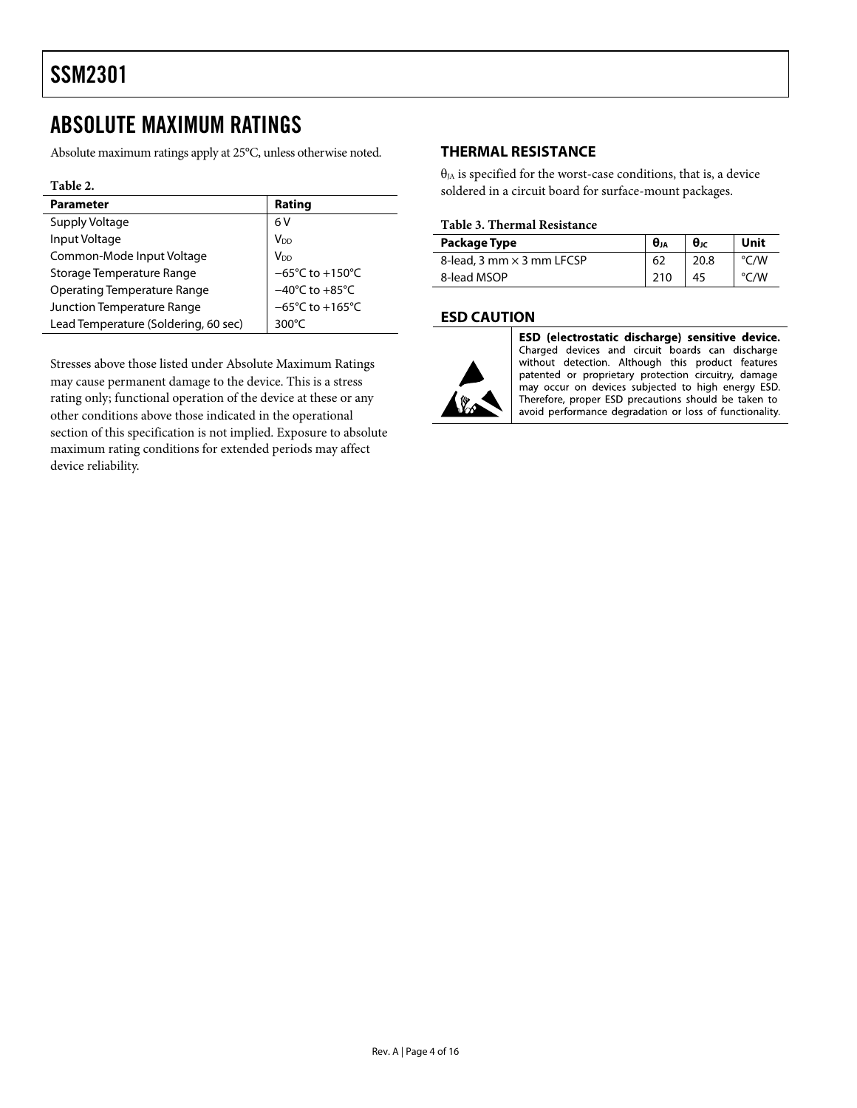### <span id="page-3-0"></span>ABSOLUTE MAXIMUM RATINGS

Absolute maximum ratings apply at 25°C, unless otherwise noted.

#### **Table 2.**

| <b>Parameter</b>                     | Rating                              |
|--------------------------------------|-------------------------------------|
| Supply Voltage                       | 6V                                  |
| Input Voltage                        | V <sub>DD</sub>                     |
| Common-Mode Input Voltage            | V <sub>DD</sub>                     |
| Storage Temperature Range            | $-65^{\circ}$ C to $+150^{\circ}$ C |
| <b>Operating Temperature Range</b>   | $-40^{\circ}$ C to $+85^{\circ}$ C  |
| Junction Temperature Range           | $-65^{\circ}$ C to $+165^{\circ}$ C |
| Lead Temperature (Soldering, 60 sec) | 300 $\degree$ C                     |

Stresses above those listed under Absolute Maximum Ratings may cause permanent damage to the device. This is a stress rating only; functional operation of the device at these or any other conditions above those indicated in the operational section of this specification is not implied. Exposure to absolute maximum rating conditions for extended periods may affect device reliability.

### **THERMAL RESISTANCE**

 $\theta_{JA}$  is specified for the worst-case conditions, that is, a device soldered in a circuit board for surface-mount packages.

#### **Table 3. Thermal Resistance**

| Package Type                     | θJA | $\theta$ JC | Unit |
|----------------------------------|-----|-------------|------|
| 8-lead, 3 mm $\times$ 3 mm LFCSP | 62  | 20.8        | °C/W |
| 8-lead MSOP                      | 210 | 45          | °C/W |

### **ESD CAUTION**



ESD (electrostatic discharge) sensitive device. Charged devices and circuit boards can discharge without detection. Although this product features patented or proprietary protection circuitry, damage may occur on devices subjected to high energy ESD. Therefore, proper ESD precautions should be taken to avoid performance degradation or loss of functionality.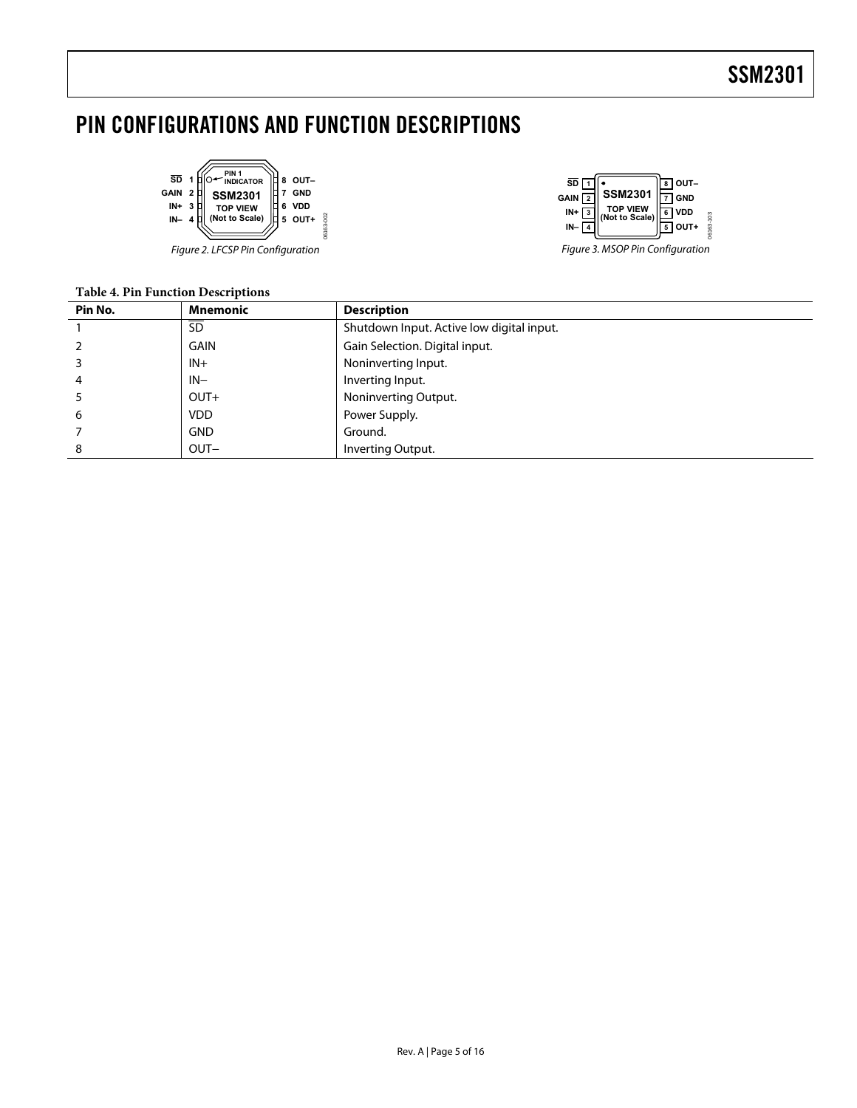# <span id="page-4-0"></span>PIN CONFIGURATIONS AND FUNCTION DESCRIPTIONS





#### **Table 4. Pin Function Descriptions**

| Pin No. | Mnemonic    | <b>Description</b>                        |
|---------|-------------|-------------------------------------------|
|         | <b>SD</b>   | Shutdown Input. Active low digital input. |
|         | <b>GAIN</b> | Gain Selection. Digital input.            |
|         | $IN +$      | Noninverting Input.                       |
| 4       | $IN-$       | Inverting Input.                          |
|         | $OUT+$      | Noninverting Output.                      |
| 6       | <b>VDD</b>  | Power Supply.                             |
|         | <b>GND</b>  | Ground.                                   |
| 8       | $OUT-$      | Inverting Output.                         |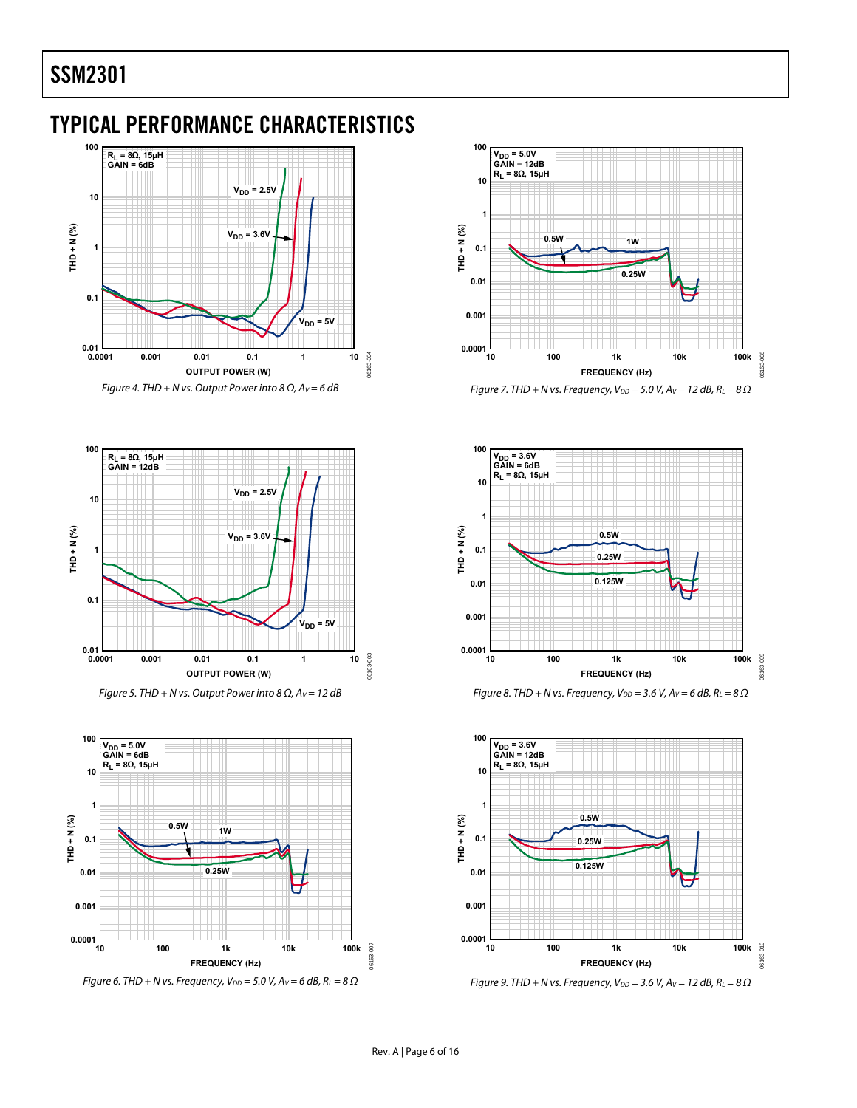### <span id="page-5-0"></span>TYPICAL PERFORMANCE CHARACTERISTICS





Figure 5. THD + N vs. Output Power into 8  $\Omega$ ,  $A_V = 12$  dB



Figure 6. THD + N vs. Frequency,  $V_{DD} = 5.0$  V,  $A_V = 6$  dB,  $R_L = 8 \Omega$ 









Figure 9. THD + N vs. Frequency,  $V_{DD} = 3.6$  V,  $A_V = 12$  dB,  $R_L = 8 \Omega$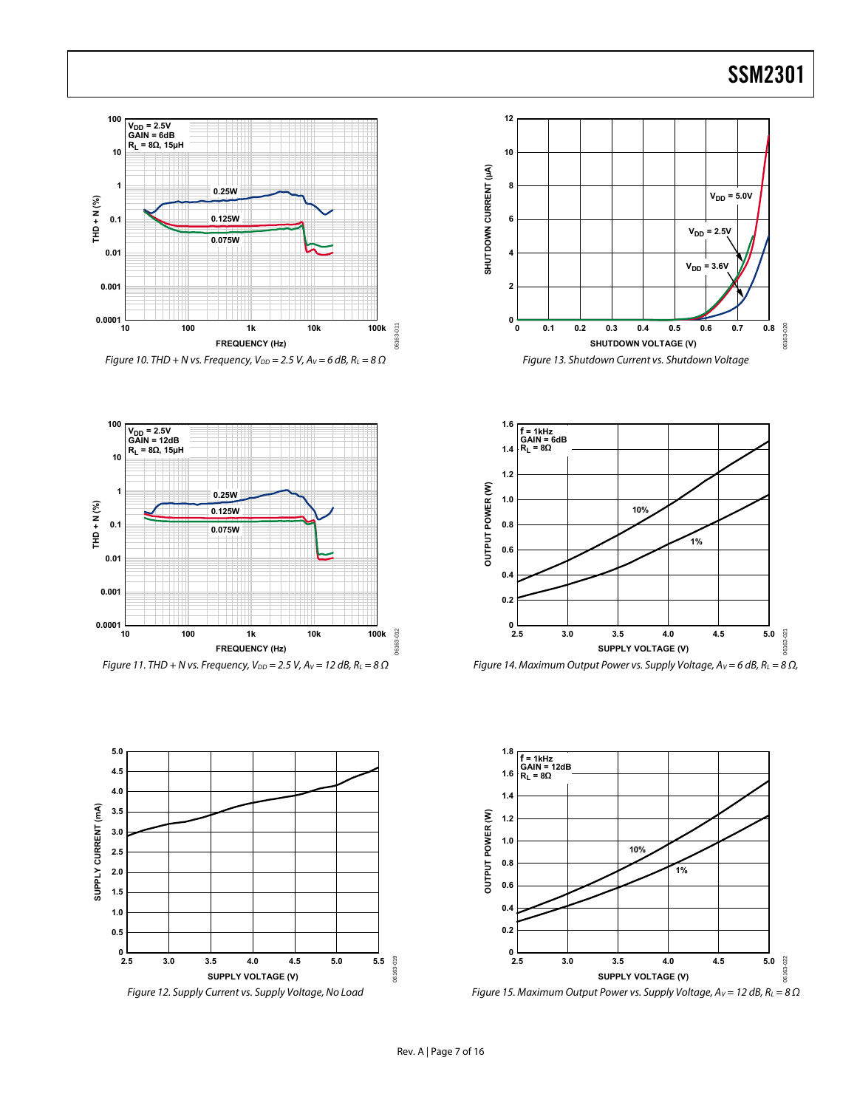

Figure 10. THD + N vs. Frequency,  $V_{DD} = 2.5$  V,  $A_V = 6$  dB,  $R_L = 8 \Omega$ 













Figure 15. Maximum Output Power vs. Supply Voltage,  $A_V = 12$  dB,  $R_L = 8 \Omega$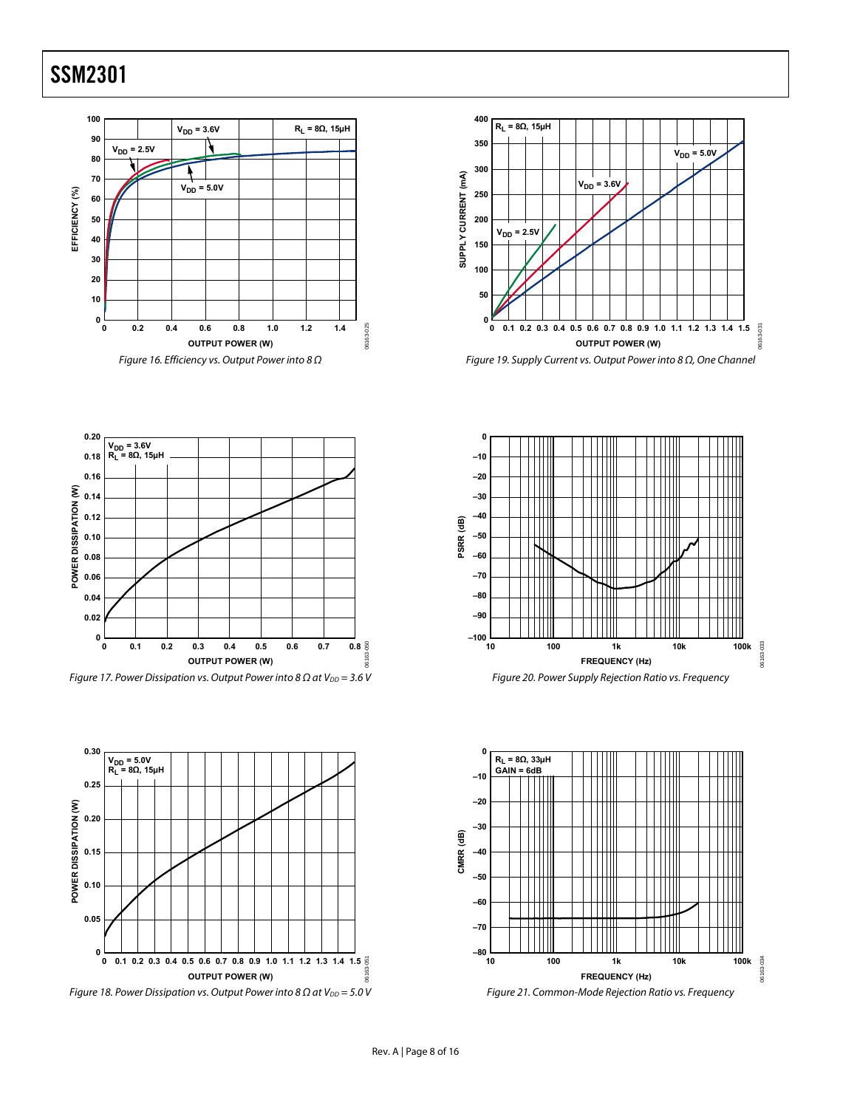















06163-050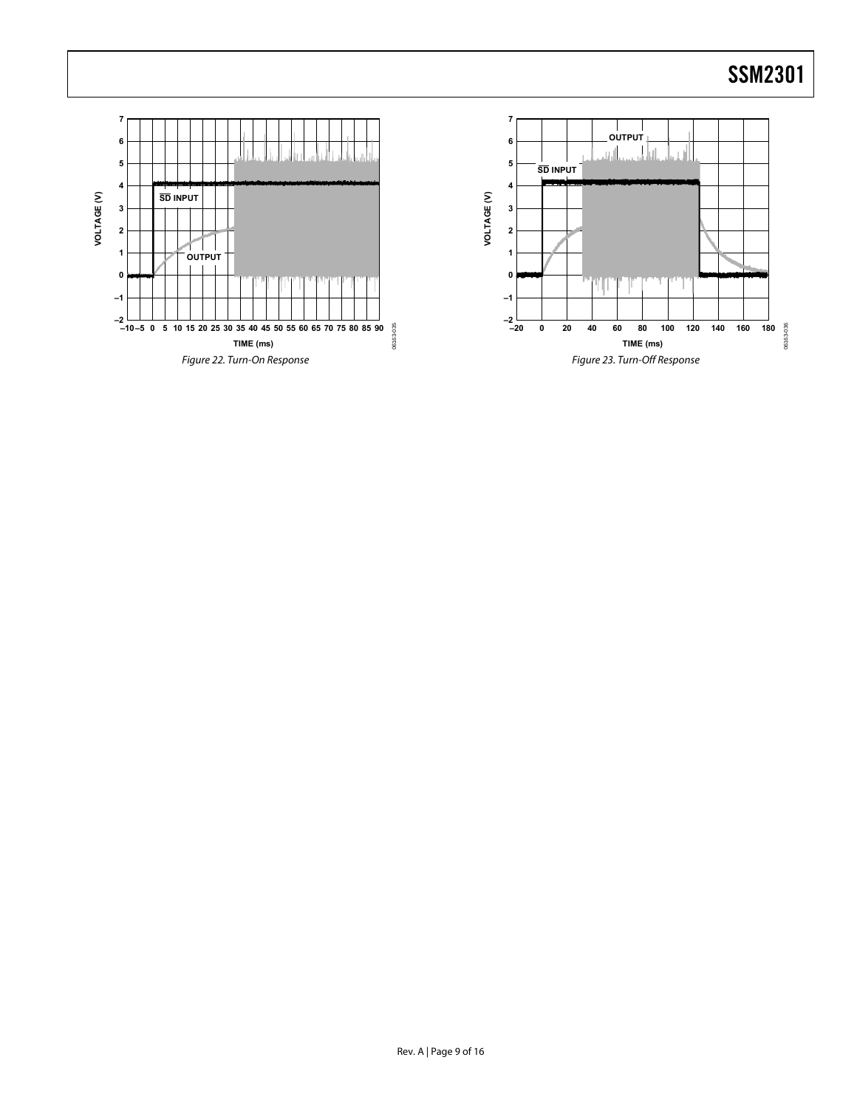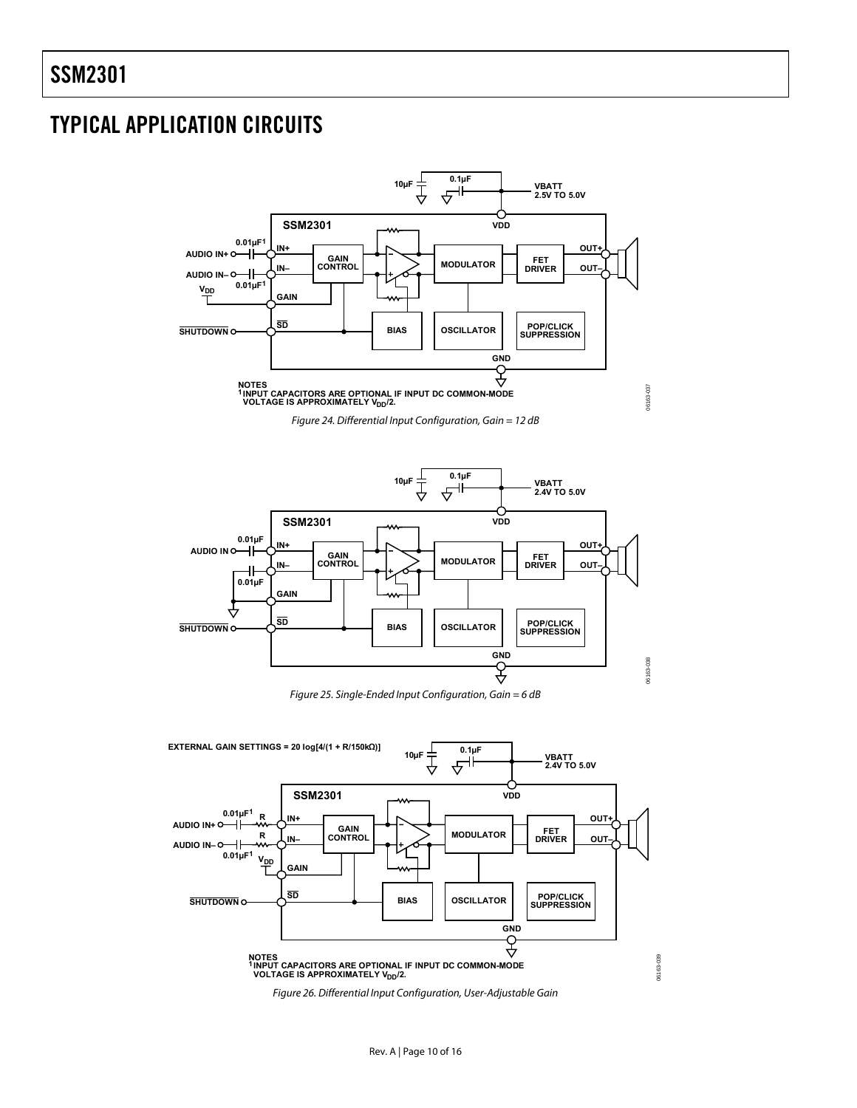# <span id="page-9-0"></span>TYPICAL APPLICATION CIRCUITS

<span id="page-9-2"></span>

<span id="page-9-3"></span>

<span id="page-9-1"></span>

06163-039

06163-039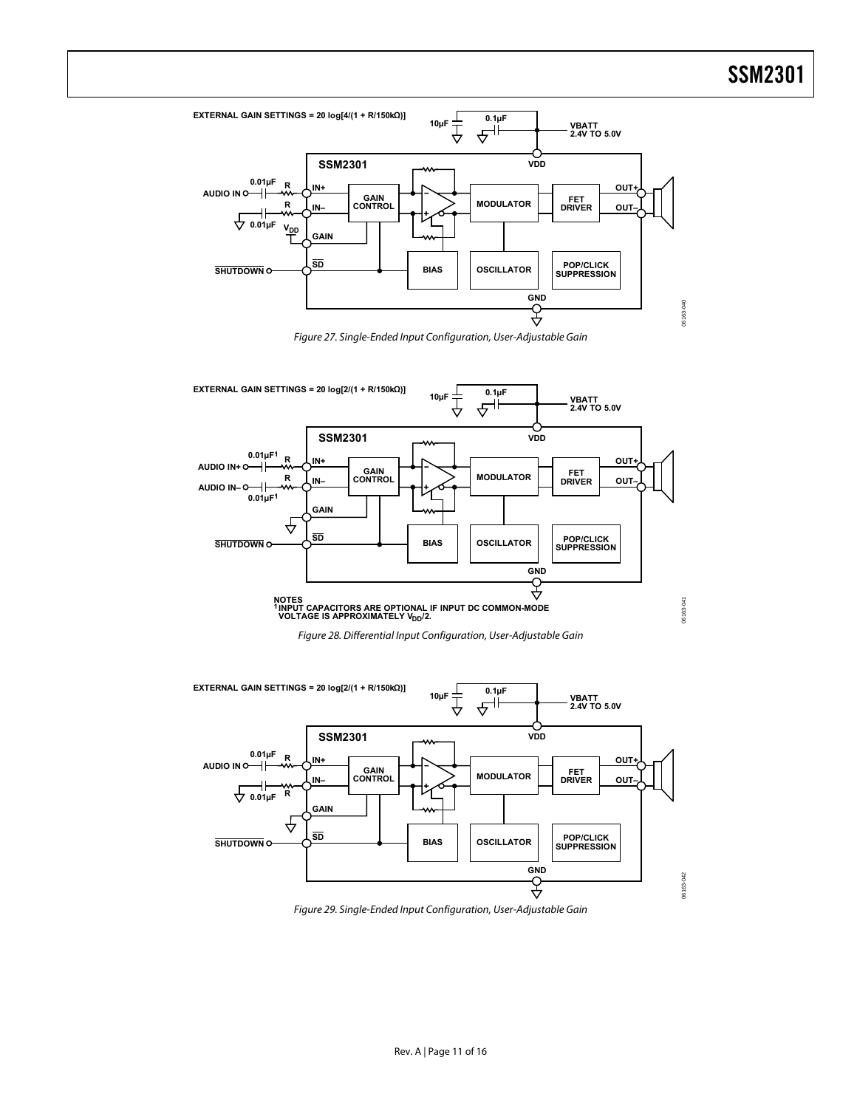06163-040



Figure 27. Single-Ended Input Configuration, User-Adjustable Gain

<span id="page-10-0"></span>



<span id="page-10-1"></span>

<span id="page-10-2"></span>Figure 29. Single-Ended Input Configuration, User-Adjustable Gain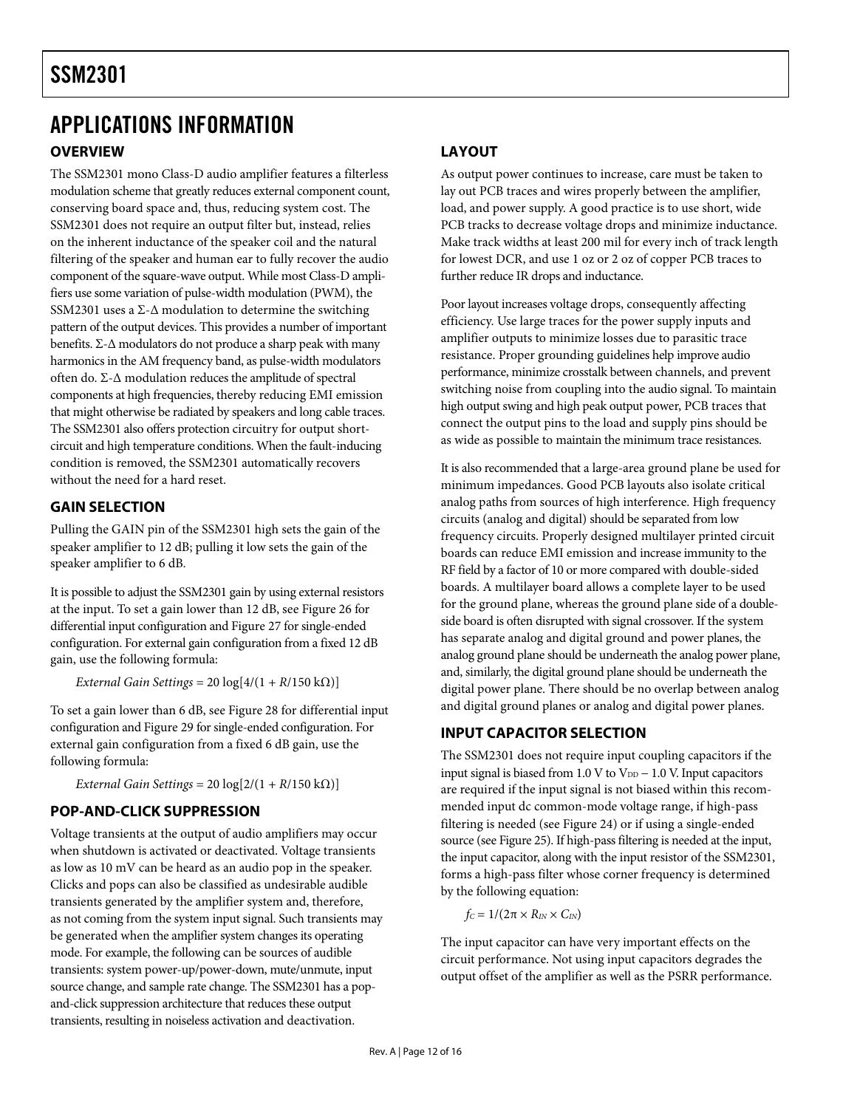### <span id="page-11-0"></span>APPLICATIONS INFORMATION **OVERVIEW**

The SSM2301 mono Class-D audio amplifier features a filterless modulation scheme that greatly reduces external component count, conserving board space and, thus, reducing system cost. The SSM2301 does not require an output filter but, instead, relies on the inherent inductance of the speaker coil and the natural filtering of the speaker and human ear to fully recover the audio component of the square-wave output. While most Class-D amplifiers use some variation of pulse-width modulation (PWM), the SSM2301 uses a  $\Sigma$ - $\Delta$  modulation to determine the switching pattern of the output devices. This provides a number of important benefits. Σ-Δ modulators do not produce a sharp peak with many harmonics in the AM frequency band, as pulse-width modulators often do. Σ-Δ modulation reduces the amplitude of spectral components at high frequencies, thereby reducing EMI emission that might otherwise be radiated by speakers and long cable traces. The SSM2301 also offers protection circuitry for output shortcircuit and high temperature conditions. When the fault-inducing condition is removed, the SSM2301 automatically recovers without the need for a hard reset.

### **GAIN SELECTION**

Pulling the GAIN pin of the SSM2301 high sets the gain of the speaker amplifier to 12 dB; pulling it low sets the gain of the speaker amplifier to 6 dB.

It is possible to adjust the SSM2301 gain by using external resistors at the input. To set a gain lower than 12 dB, see [Figure 26](#page-9-1) for differential input configuration and [Figure 27](#page-10-0) for single-ended configuration. For external gain configuration from a fixed 12 dB gain, use the following formula:

*External Gain Settings* = 20 log[4/(1 + *R*/150 kΩ)]

To set a gain lower than 6 dB, see [Figure 28](#page-10-1) for differential input configuration and [Figure 29](#page-10-2) for single-ended configuration. For external gain configuration from a fixed 6 dB gain, use the following formula:

*External Gain Settings* =  $20 \log[2/(1 + R/150 \text{ k}\Omega)]$ 

### **POP-AND-CLICK SUPPRESSION**

Voltage transients at the output of audio amplifiers may occur when shutdown is activated or deactivated. Voltage transients as low as 10 mV can be heard as an audio pop in the speaker. Clicks and pops can also be classified as undesirable audible transients generated by the amplifier system and, therefore, as not coming from the system input signal. Such transients may be generated when the amplifier system changes its operating mode. For example, the following can be sources of audible transients: system power-up/power-down, mute/unmute, input source change, and sample rate change. The SSM2301 has a popand-click suppression architecture that reduces these output transients, resulting in noiseless activation and deactivation.

### **LAYOUT**

As output power continues to increase, care must be taken to lay out PCB traces and wires properly between the amplifier, load, and power supply. A good practice is to use short, wide PCB tracks to decrease voltage drops and minimize inductance. Make track widths at least 200 mil for every inch of track length for lowest DCR, and use 1 oz or 2 oz of copper PCB traces to further reduce IR drops and inductance.

Poor layout increases voltage drops, consequently affecting efficiency. Use large traces for the power supply inputs and amplifier outputs to minimize losses due to parasitic trace resistance. Proper grounding guidelines help improve audio performance, minimize crosstalk between channels, and prevent switching noise from coupling into the audio signal. To maintain high output swing and high peak output power, PCB traces that connect the output pins to the load and supply pins should be as wide as possible to maintain the minimum trace resistances.

It is also recommended that a large-area ground plane be used for minimum impedances. Good PCB layouts also isolate critical analog paths from sources of high interference. High frequency circuits (analog and digital) should be separated from low frequency circuits. Properly designed multilayer printed circuit boards can reduce EMI emission and increase immunity to the RF field by a factor of 10 or more compared with double-sided boards. A multilayer board allows a complete layer to be used for the ground plane, whereas the ground plane side of a doubleside board is often disrupted with signal crossover. If the system has separate analog and digital ground and power planes, the analog ground plane should be underneath the analog power plane, and, similarly, the digital ground plane should be underneath the digital power plane. There should be no overlap between analog and digital ground planes or analog and digital power planes.

### **INPUT CAPACITOR SELECTION**

The SSM2301 does not require input coupling capacitors if the input signal is biased from 1.0 V to  $V_{DD}$  – 1.0 V. Input capacitors are required if the input signal is not biased within this recommended input dc common-mode voltage range, if high-pass filtering is needed (see [Figure 24\)](#page-9-2) or if using a single-ended source (see [Figure 25\)](#page-9-3). If high-pass filtering is needed at the input, the input capacitor, along with the input resistor of the SSM2301, forms a high-pass filter whose corner frequency is determined by the following equation:

 $f_C = 1/(2\pi \times R_{IN} \times C_{IN})$ 

The input capacitor can have very important effects on the circuit performance. Not using input capacitors degrades the output offset of the amplifier as well as the PSRR performance.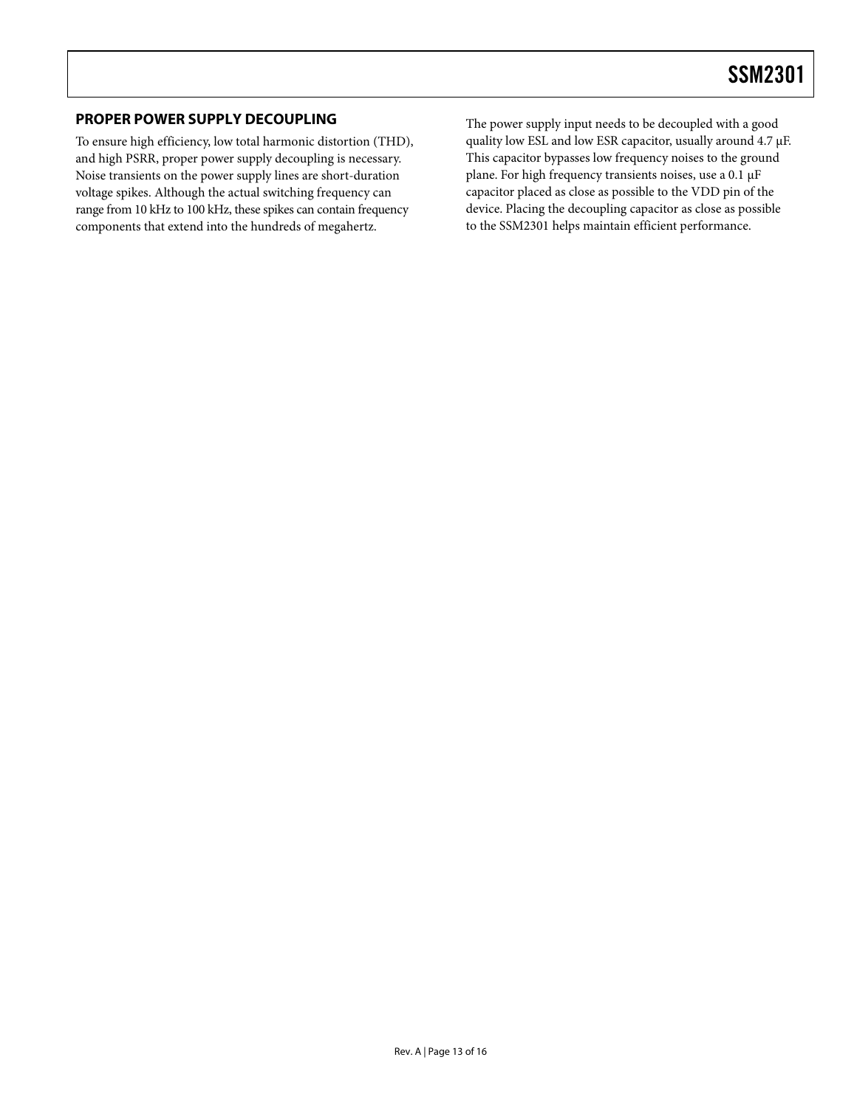### <span id="page-12-0"></span>**PROPER POWER SUPPLY DECOUPLING**

To ensure high efficiency, low total harmonic distortion (THD), and high PSRR, proper power supply decoupling is necessary. Noise transients on the power supply lines are short-duration voltage spikes. Although the actual switching frequency can range from 10 kHz to 100 kHz, these spikes can contain frequency components that extend into the hundreds of megahertz.

The power supply input needs to be decoupled with a good quality low ESL and low ESR capacitor, usually around 4.7 μF. This capacitor bypasses low frequency noises to the ground plane. For high frequency transients noises, use a 0.1 μF capacitor placed as close as possible to the VDD pin of the device. Placing the decoupling capacitor as close as possible to the SSM2301 helps maintain efficient performance.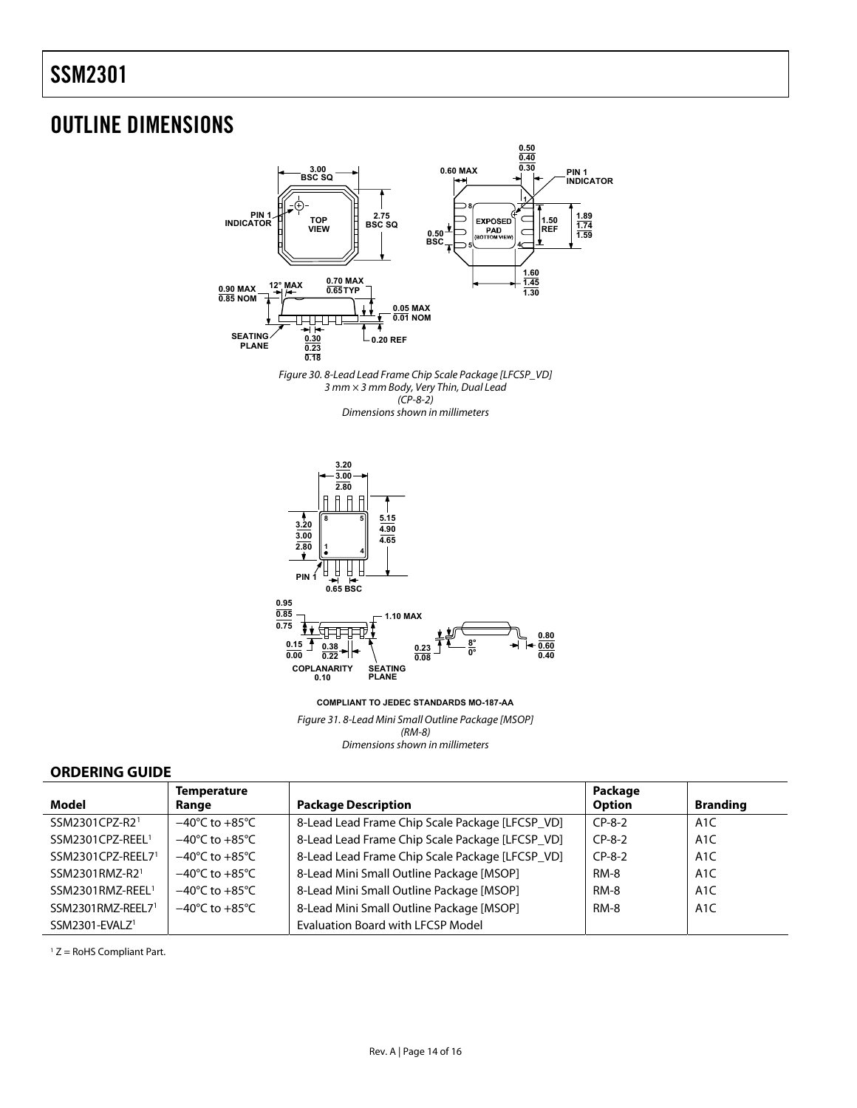### <span id="page-13-0"></span>OUTLINE DIMENSIONS





**COMPLIANT TO JEDEC STANDARDS MO-187-AA**

Figure 3*1*. 8-Lead Mini Small Outline Package [MSOP] (RM-8) Dimensions shown in millimeters

### **ORDERING GUIDE**

<span id="page-13-1"></span>

|                              | <b>Temperature</b>                 |                                                 | Package     |                  |
|------------------------------|------------------------------------|-------------------------------------------------|-------------|------------------|
| Model                        | Range                              | <b>Package Description</b>                      | Option      | <b>Branding</b>  |
| SSM2301CPZ-R2 <sup>1</sup>   | $-40^{\circ}$ C to $+85^{\circ}$ C | 8-Lead Lead Frame Chip Scale Package [LFCSP_VD] | $CP-8-2$    | A <sub>1</sub> C |
| SSM2301CPZ-REEL <sup>1</sup> | $-40^{\circ}$ C to $+85^{\circ}$ C | 8-Lead Lead Frame Chip Scale Package [LFCSP_VD] | $CP-8-2$    | A1C              |
| SSM2301CPZ-REEL71            | $-40^{\circ}$ C to $+85^{\circ}$ C | 8-Lead Lead Frame Chip Scale Package [LFCSP_VD] | $CP-8-2$    | A1C              |
| SSM2301RMZ-R21               | $-40^{\circ}$ C to $+85^{\circ}$ C | 8-Lead Mini Small Outline Package [MSOP]        | <b>RM-8</b> | A1C              |
| SSM2301RMZ-REEL <sup>1</sup> | $-40^{\circ}$ C to $+85^{\circ}$ C | 8-Lead Mini Small Outline Package [MSOP]        | <b>RM-8</b> | A <sub>1</sub> C |
| SSM2301RMZ-REEL71            | $-40^{\circ}$ C to $+85^{\circ}$ C | 8-Lead Mini Small Outline Package [MSOP]        | <b>RM-8</b> | A <sub>1</sub> C |
| SSM2301-EVALZ <sup>1</sup>   |                                    | <b>Evaluation Board with LFCSP Model</b>        |             |                  |

 $1 Z =$  RoHS Compliant Part.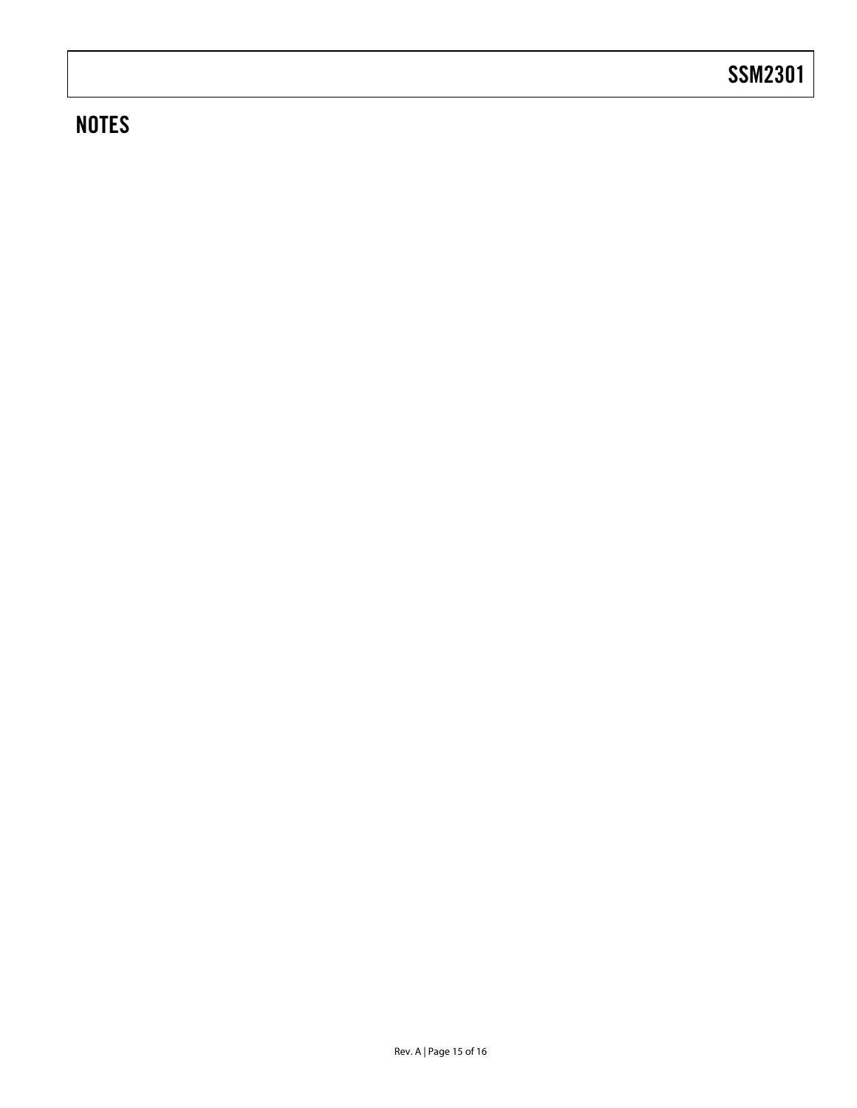# **NOTES**